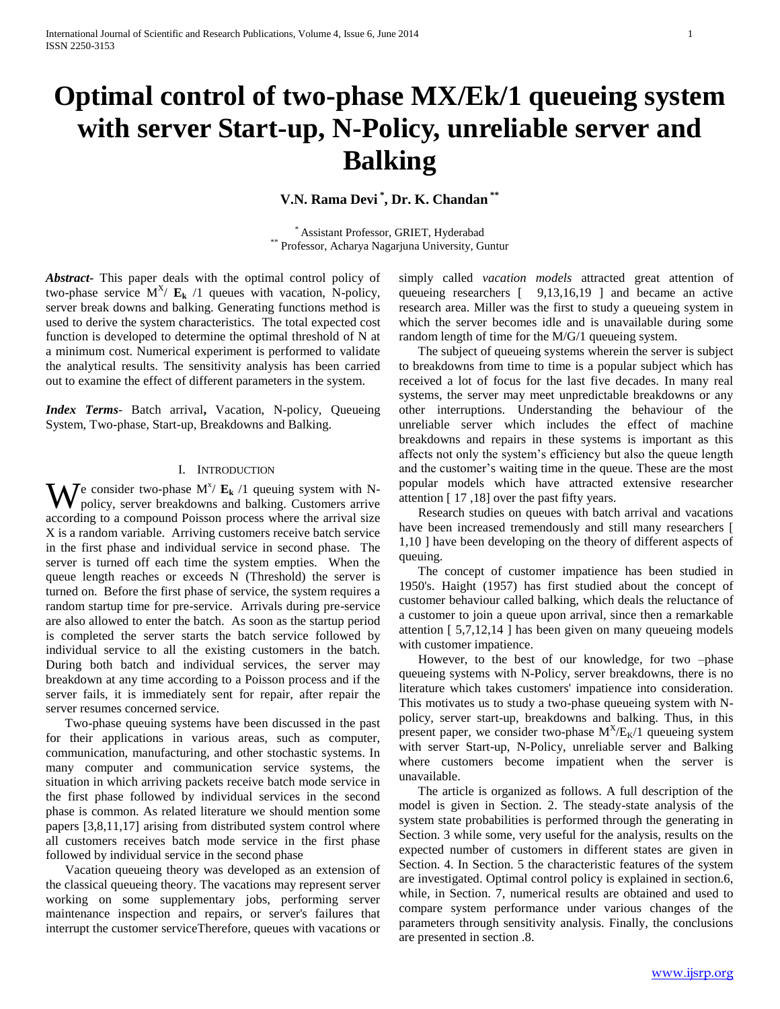# **Optimal control of two-phase MX/Ek/1 queueing system with server Start-up, N-Policy, unreliable server and Balking**

**V.N. Rama Devi \* , Dr. K. Chandan \*\***

\* Assistant Professor, GRIET, Hyderabad Professor, Acharya Nagarjuna University, Guntur

*Abstract***-** This paper deals with the optimal control policy of two-phase service  $M^X / E_k / 1$  queues with vacation, N-policy, server break downs and balking. Generating functions method is used to derive the system characteristics. The total expected cost function is developed to determine the optimal threshold of N at a minimum cost. Numerical experiment is performed to validate the analytical results. The sensitivity analysis has been carried out to examine the effect of different parameters in the system.

*Index Terms*- Batch arrival**,** Vacation, N-policy, Queueing System, Two-phase, Start-up, Breakdowns and Balking.

# I. INTRODUCTION

 $\mathbf{W}$  e consider two-phase  $M^{\chi}$   $\mathbf{E_k}$  /1 queuing system with N-<br>policy, server breakdowns and balking. Customers arrive policy, server breakdowns and balking. Customers arrive according to a compound Poisson process where the arrival size X is a random variable. Arriving customers receive batch service in the first phase and individual service in second phase. The server is turned off each time the system empties. When the queue length reaches or exceeds N (Threshold) the server is turned on. Before the first phase of service, the system requires a random startup time for pre-service. Arrivals during pre-service are also allowed to enter the batch. As soon as the startup period is completed the server starts the batch service followed by individual service to all the existing customers in the batch. During both batch and individual services, the server may breakdown at any time according to a Poisson process and if the server fails, it is immediately sent for repair, after repair the server resumes concerned service.

 Two-phase queuing systems have been discussed in the past for their applications in various areas, such as computer, communication, manufacturing, and other stochastic systems. In many computer and communication service systems, the situation in which arriving packets receive batch mode service in the first phase followed by individual services in the second phase is common. As related literature we should mention some papers [3,8,11,17] arising from distributed system control where all customers receives batch mode service in the first phase followed by individual service in the second phase

 Vacation queueing theory was developed as an extension of the classical queueing theory. The vacations may represent server working on some supplementary jobs, performing server maintenance inspection and repairs, or server's failures that interrupt the customer serviceTherefore, queues with vacations or

simply called *vacation models* attracted great attention of queueing researchers [ 9,13,16,19 ] and became an active research area. Miller was the first to study a queueing system in which the server becomes idle and is unavailable during some random length of time for the M/G/1 queueing system.

 The subject of queueing systems wherein the server is subject to breakdowns from time to time is a popular subject which has received a lot of focus for the last five decades. In many real systems, the server may meet unpredictable breakdowns or any other interruptions. Understanding the behaviour of the unreliable server which includes the effect of machine breakdowns and repairs in these systems is important as this affects not only the system's efficiency but also the queue length and the customer's waiting time in the queue. These are the most popular models which have attracted extensive researcher attention [ 17 ,18] over the past fifty years.

 Research studies on queues with batch arrival and vacations have been increased tremendously and still many researchers [ 1,10 ] have been developing on the theory of different aspects of queuing.

 The concept of customer impatience has been studied in 1950's. Haight (1957) has first studied about the concept of customer behaviour called balking, which deals the reluctance of a customer to join a queue upon arrival, since then a remarkable attention [ 5,7,12,14 ] has been given on many queueing models with customer impatience.

 However, to the best of our knowledge, for two –phase queueing systems with N-Policy, server breakdowns, there is no literature which takes customers' impatience into consideration. This motivates us to study a two-phase queueing system with Npolicy, server start-up, breakdowns and balking. Thus, in this present paper, we consider two-phase  $M<sup>X</sup>/E<sub>K</sub>/1$  queueing system with server Start-up, N-Policy, unreliable server and Balking where customers become impatient when the server is unavailable.

 The article is organized as follows. A full description of the model is given in Section. 2. The steady-state analysis of the system state probabilities is performed through the generating in Section. 3 while some, very useful for the analysis, results on the expected number of customers in different states are given in Section. 4. In Section. 5 the characteristic features of the system are investigated. Optimal control policy is explained in section.6, while, in Section. 7, numerical results are obtained and used to compare system performance under various changes of the parameters through sensitivity analysis. Finally, the conclusions are presented in section .8.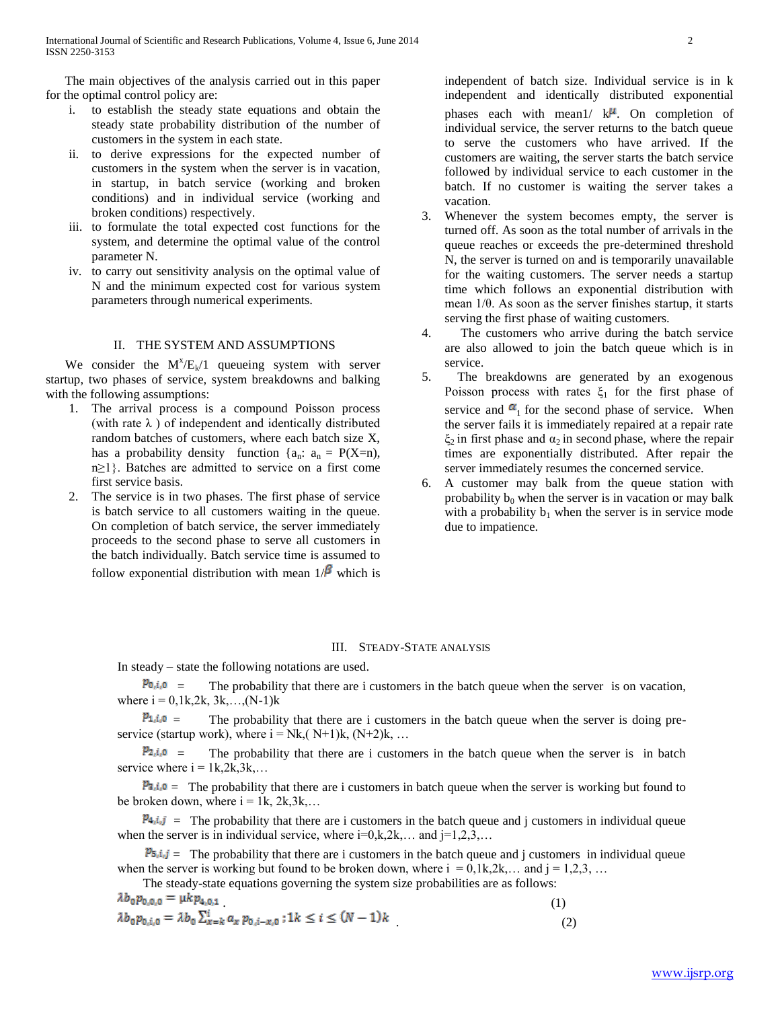The main objectives of the analysis carried out in this paper for the optimal control policy are:

- i. to establish the steady state equations and obtain the steady state probability distribution of the number of customers in the system in each state.
- ii. to derive expressions for the expected number of customers in the system when the server is in vacation, in startup, in batch service (working and broken conditions) and in individual service (working and broken conditions) respectively.
- iii. to formulate the total expected cost functions for the system, and determine the optimal value of the control parameter N.
- iv. to carry out sensitivity analysis on the optimal value of N and the minimum expected cost for various system parameters through numerical experiments.

#### II. THE SYSTEM AND ASSUMPTIONS

We consider the  $M^X/E_k/1$  queueing system with server startup, two phases of service, system breakdowns and balking with the following assumptions:

- 1. The arrival process is a compound Poisson process (with rate  $\lambda$ ) of independent and identically distributed random batches of customers, where each batch size X, has a probability density function  $\{a_n: a_n = P(X=n)\}$ , n≥1}. Batches are admitted to service on a first come first service basis.
- 2. The service is in two phases. The first phase of service is batch service to all customers waiting in the queue. On completion of batch service, the server immediately proceeds to the second phase to serve all customers in the batch individually. Batch service time is assumed to follow exponential distribution with mean  $1/\beta$  which is

independent of batch size. Individual service is in k independent and identically distributed exponential phases each with mean1/  $k^{\mu}$ . On completion of individual service, the server returns to the batch queue to serve the customers who have arrived. If the customers are waiting, the server starts the batch service followed by individual service to each customer in the batch. If no customer is waiting the server takes a vacation.

- 3. Whenever the system becomes empty, the server is turned off. As soon as the total number of arrivals in the queue reaches or exceeds the pre-determined threshold N, the server is turned on and is temporarily unavailable for the waiting customers. The server needs a startup time which follows an exponential distribution with mean 1/θ. As soon as the server finishes startup, it starts serving the first phase of waiting customers.
- 4. The customers who arrive during the batch service are also allowed to join the batch queue which is in service.
- 5. The breakdowns are generated by an exogenous Poisson process with rates  $\xi_1$  for the first phase of service and  $\alpha_1$  for the second phase of service. When the server fails it is immediately repaired at a repair rate  $\xi_2$  in first phase and  $\alpha_2$  in second phase, where the repair times are exponentially distributed. After repair the server immediately resumes the concerned service.
- 6. A customer may balk from the queue station with probability  $b_0$  when the server is in vacation or may balk with a probability  $b_1$  when the server is in service mode due to impatience.

#### III. STEADY-STATE ANALYSIS

In steady – state the following notations are used.

 $\mathcal{P}_{0,i,0}$  = The probability that there are i customers in the batch queue when the server is on vacation, where  $i = 0,1k,2k, 3k,...,(N-1)k$ 

 $p_{1,i,0}$  = The probability that there are i customers in the batch queue when the server is doing preservice (startup work), where  $i = Nk$ ,  $(N+1)k$ ,  $(N+2)k$ , ...

 $\mathcal{P}_{2,i,0}$  = The probability that there are i customers in the batch queue when the server is in batch service where  $i = 1k, 2k, 3k, \ldots$ 

 $P_{3,i,0}$  = The probability that there are i customers in batch queue when the server is working but found to be broken down, where  $i = 1k$ ,  $2k,3k$ ,...

 $P_{4,i,j}$  = The probability that there are i customers in the batch queue and j customers in individual queue when the server is in individual service, where  $i=0, k, 2k, \ldots$  and  $j=1,2,3,\ldots$ 

 $\mathcal{P}_{5,i,j}$  = The probability that there are i customers in the batch queue and j customers in individual queue when the server is working but found to be broken down, where  $i = 0, 1k, 2k, \ldots$  and  $j = 1, 2, 3, \ldots$ 

The steady-state equations governing the system size probabilities are as follows:

.  $(1)$  $\qquad \qquad (2)$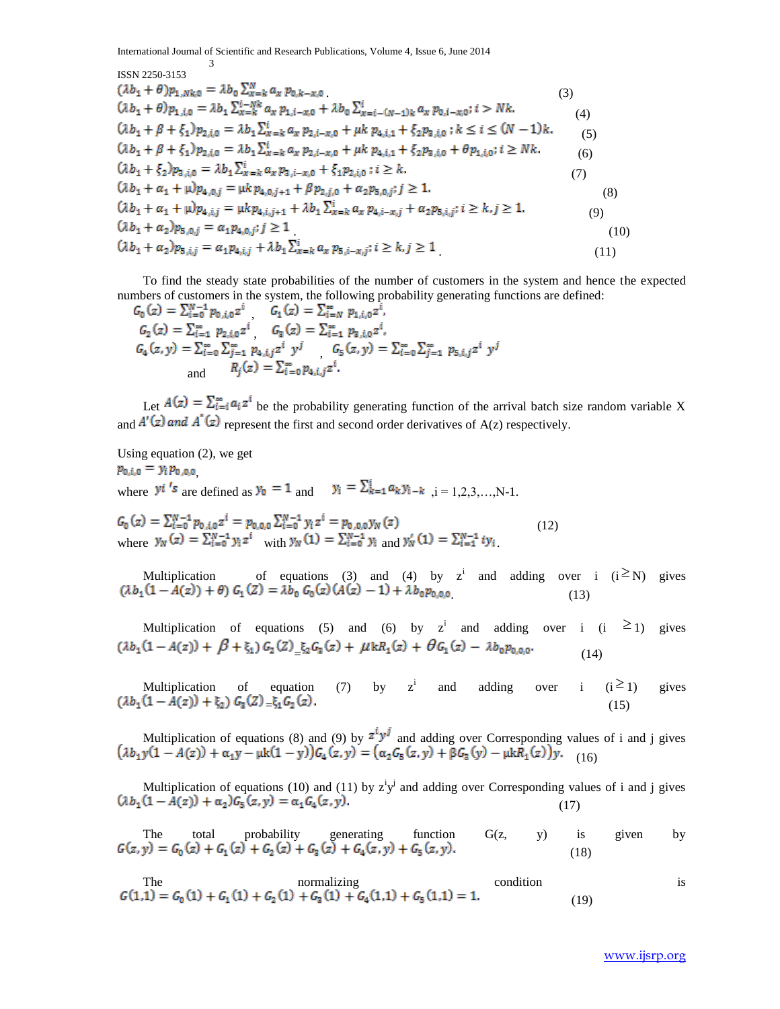ISSN 2250-3153

3

$$
(\lambda b_{1} + \theta)p_{1,Nk,0} = \lambda b_{0} \sum_{x=k}^{N} a_{x} p_{0,k-x,0}
$$
\n
$$
(\lambda b_{1} + \theta) p_{1,i,0} = \lambda b_{1} \sum_{x=k}^{i-Nk} a_{x} p_{1,i-x,0} + \lambda b_{0} \sum_{x=i-(N-1)k}^{i} a_{x} p_{0,i-x,0}; i > Nk.
$$
\n
$$
(\lambda b_{1} + \beta + \xi_{1}) p_{2,i,0} = \lambda b_{1} \sum_{x=k}^{i} a_{x} p_{2,i-x,0} + \mu k p_{4,i,1} + \xi_{2} p_{3,i,0}; k \leq i \leq (N-1)k.
$$
\n
$$
(\lambda b_{1} + \beta + \xi_{1}) p_{2,i,0} = \lambda b_{1} \sum_{x=k}^{i} a_{x} p_{2,i-x,0} + \mu k p_{4,i,1} + \xi_{2} p_{3,i,0} + \theta p_{1,i,0}; i \geq Nk.
$$
\n
$$
(\lambda b_{1} + \xi_{2}) p_{3,i,0} = \lambda b_{1} \sum_{x=k}^{i} a_{x} p_{3,i-x,0} + \xi_{1} p_{2,i,0}; i \geq k.
$$
\n
$$
(\lambda b_{1} + \alpha_{1} + \mu) p_{4,0,j} = \mu k p_{4,0,j+1} + \beta p_{2,j,0} + \alpha_{2} p_{5,0,j}; j \geq 1.
$$
\n
$$
(\lambda b_{1} + \alpha_{1} + \mu) p_{4,i,j} = \mu k p_{4,i,j+1} + \lambda b_{1} \sum_{x=k}^{i} a_{x} p_{4,i-x,j} + \alpha_{2} p_{5,i,j}; i \geq k, j \geq 1.
$$
\n
$$
(\lambda b_{1} + \alpha_{2}) p_{5,0,j} = \alpha_{1} p_{4,0,j}; j \geq 1
$$
\n
$$
(\lambda b_{1} + \alpha_{2}) p_{5,i,j} = \alpha_{1} p_{4,i,j} + \lambda b_{1} \sum_{x=k}^{i} \alpha_{x} p_{5,i-x,j}; i \geq k, j \geq 1
$$
\n
$$
(10)
$$

 To find the steady state probabilities of the number of customers in the system and hence the expected numbers of customers in the system, the following probability generating functions are defined:

$$
G_0(z) = \sum_{i=0}^{N-1} p_{0,i,0} z^i \t G_1(z) = \sum_{i=N}^{\infty} p_{1,i,0} z^i,
$$
  
\n
$$
G_2(z) = \sum_{i=1}^{\infty} p_{2,i,0} z^i \t G_3(z) = \sum_{i=1}^{\infty} p_{3,i,0} z^i,
$$
  
\n
$$
G_4(z, y) = \sum_{i=0}^{\infty} \sum_{j=1}^{\infty} p_{4,i,j} z^i y^j \t G_5(z, y) = \sum_{i=0}^{\infty} \sum_{j=1}^{\infty} p_{5,i,j} z^i y^j
$$
  
\nand  
\n
$$
R_j(z) = \sum_{i=0}^{\infty} p_{4,i,j} z^i.
$$

Let  $A(z) = \sum_{i=1}^{\infty} a_i z^i$  be the probability generating function of the arrival batch size random variable X and  $A'(z)$  and  $A''(z)$  represent the first and second order derivatives of A(z) respectively.

Using equation (2), we get  $p_{0,i,0} = y_i p_{0,0,0}$ where  $y^{i}$ 's are defined as  $y_0 = 1$  and  $y_i = \sum_{k=1}^{i} a_k y_{i-k}$ ,  $i = 1,2,3,...,N-1$ .

 $(12)$ where  $y_N(z) = \sum_{i=0}^{N} y_i z^i$  with  $y_N(1) = \sum_{i=0}^{N} y_i$  and  $y_N(1) = \sum_{i=1}^{N} y_i$ .

Multiplication of equations (3) and (4) by z<sup>i</sup> and adding over i  $(i \ge N)$  gives .  $(13)$ 

Multiplication of equations (5) and (6) by z<sup>i</sup> and adding over i (i  $\geq$  1) gives  $(\lambda b_1(1-A(z)) + \beta + \xi_1) G_2(Z)$ <sub>=</sub> $\xi_2 G_3(z) + \mu k R_1(z) + \theta G_1(z) - \lambda b_0 p_{0,0,0}$ . (14)

Multiplication of equation (7) by  $z^i$ <br>( $\lambda b_1(1 - A(z)) + \xi_2$ )  $G_3(Z) = \xi_1 G_2(z)$ . and adding over i  $(i \geq 1)$ gives  $=\xi_1 \mathbf{G}_2 \setminus \mathbf{Z}$ , (15)

Multiplication of equations (8) and (9) by  $\mathbb{Z}^3$  and adding over Corresponding values of i and j gives (16)

Multiplication of equations (10) and (11) by  $z^i y^j$  and adding over Corresponding values of i and j gives (17)

The total probability generating function 
$$
G(z, y)
$$
 is given by  $G(z, y) = G_0(z) + G_1(z) + G_2(z) + G_3(z) + G_4(z, y) + G_5(z, y)$ . (18)

The normalizing condition is 
$$
G(1,1) = G_0(1) + G_1(1) + G_2(1) + G_3(1) + G_4(1,1) + G_5(1,1) = 1.
$$
 (19)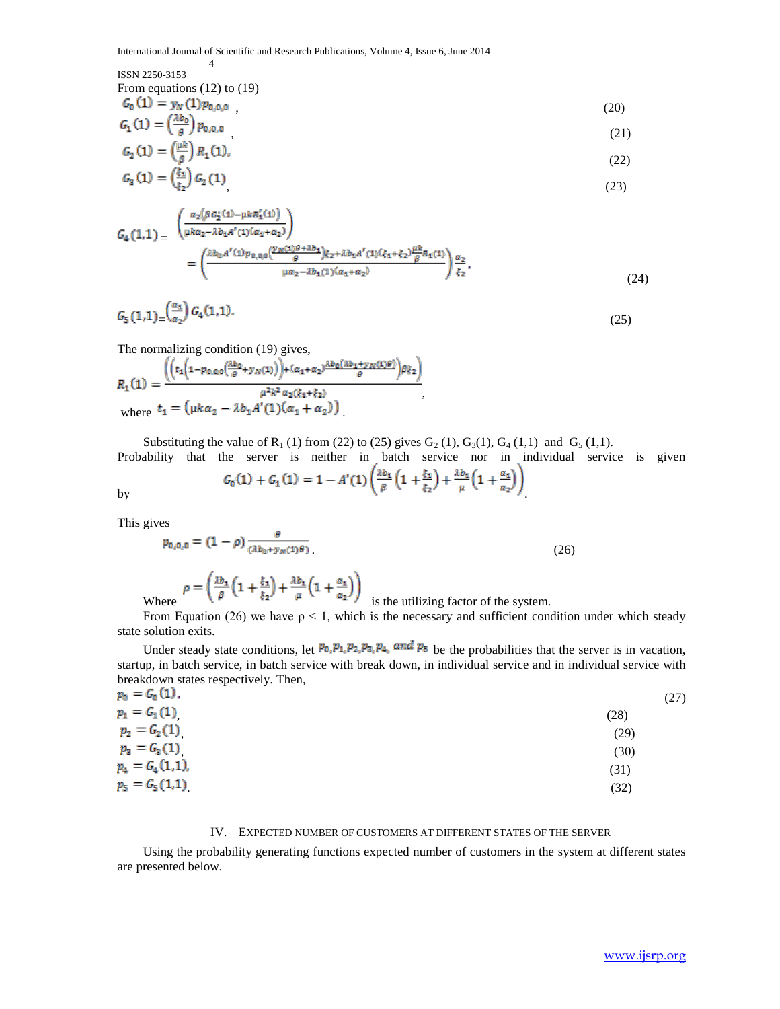# ISSN 2250-3153

From equations (12) to (19)

4

$$
G_0(1) = y_N(1) p_{0,0,0} \tag{20}
$$

$$
G_1(1) = \left(\frac{\Delta D_0}{\theta}\right) p_{0,0,0} \tag{21}
$$

$$
G_2(1) = \left(\frac{\mu k}{\beta}\right) R_1(1),\tag{22}
$$

$$
G_3(1) = \left(\frac{\xi_1}{\xi_2}\right) G_2(1) \tag{23}
$$

$$
G_{4}(1,1) = \frac{\left(\frac{\alpha_{2}(\beta G_{2}^{'}(1)-\mu k R_{1}^{'}(1))}{\mu k \alpha_{2}-\lambda b_{1}A^{'}(1)(\alpha_{1}+\alpha_{2})}\right)}{(\frac{\lambda b_{0}A^{'}(1)p_{0,0,0}(\frac{\nu N(1)\theta+\lambda b_{1}}{\theta})\xi_{2}+\lambda b_{1}A^{'}(1)(\xi_{1}+\xi_{2})\frac{\mu k}{\beta}R_{1}(1))}{\mu\alpha_{2}-\lambda b_{1}(1)(\alpha_{1}+\alpha_{2})}\right)\frac{\alpha_{2}}{\xi_{2}}},
$$
\n(24)

$$
G_5(1,1) = \left(\frac{\alpha_1}{\alpha_2}\right) G_4(1,1). \tag{25}
$$

k.

The normalizing condition (19) gives,

$$
R_1(1) = \frac{\left( \left( t_1 \left( 1 - p_{0,0,0} \left( \frac{\lambda b_0}{\theta} + y_N(1) \right) \right) + (\alpha_1 + \alpha_2) \frac{\lambda b_0 \left( \lambda b_1 + y_N(1) \theta \right)}{\theta} \right) \beta \xi_2 \right)}{\mu^2 k^2 \alpha_2 (\xi_1 + \xi_2)}
$$
\nwhere  $t_1 = (\mu k \alpha_2 - \lambda b_1 A'(1) (\alpha_1 + \alpha_2))$ 

Substituting the value of  $R_1$  (1) from (22) to (25) gives  $G_2$  (1),  $G_3$ (1),  $G_4$  (1,1) and  $G_5$  (1,1). Probability that the server is neither in batch service nor in individual service is given

by  

$$
G_0(1) + G_1(1) = 1 - A'(1) \left( \frac{\lambda b_1}{\beta} \left( 1 + \frac{\xi_1}{\xi_2} \right) + \frac{\lambda b_1}{\mu} \left( 1 + \frac{\alpha_1}{\alpha_2} \right) \right)
$$

This gives

$$
p_{0,0,0} = (1 - \rho) \frac{\theta}{(\lambda b_0 + y_N(1)\theta)}
$$
(26)  

$$
\rho = \left(\frac{\lambda b_1}{\beta} \left(1 + \frac{\xi_1}{\xi_2}\right) + \frac{\lambda b_1}{\mu} \left(1 + \frac{\alpha_1}{\alpha_2}\right)\right)
$$
 is the utilizing factor of the system.

From Equation (26) we have  $\rho < 1$ , which is the necessary and sufficient condition under which steady state solution exits.

Under steady state conditions, let  $p_0, p_1, p_2, p_3, p_4$ , and  $p_5$  be the probabilities that the server is in vacation, startup, in batch service, in batch service with break down, in individual service and in individual service with breakdown states respectively. Then,

| $p_0 = G_0(1)$ ,  | (27) |
|-------------------|------|
| $p_1 = G_1(1)$    | (28) |
| $p_2 = G_2(1)$    | (29) |
| $p_3 = G_3(1)$    | (30) |
| $p_4 = G_4(1,1),$ | (31) |
| $p_5 = G_5(1,1)$  | (32) |
|                   |      |

## IV. EXPECTED NUMBER OF CUSTOMERS AT DIFFERENT STATES OF THE SERVER

 Using the probability generating functions expected number of customers in the system at different states are presented below.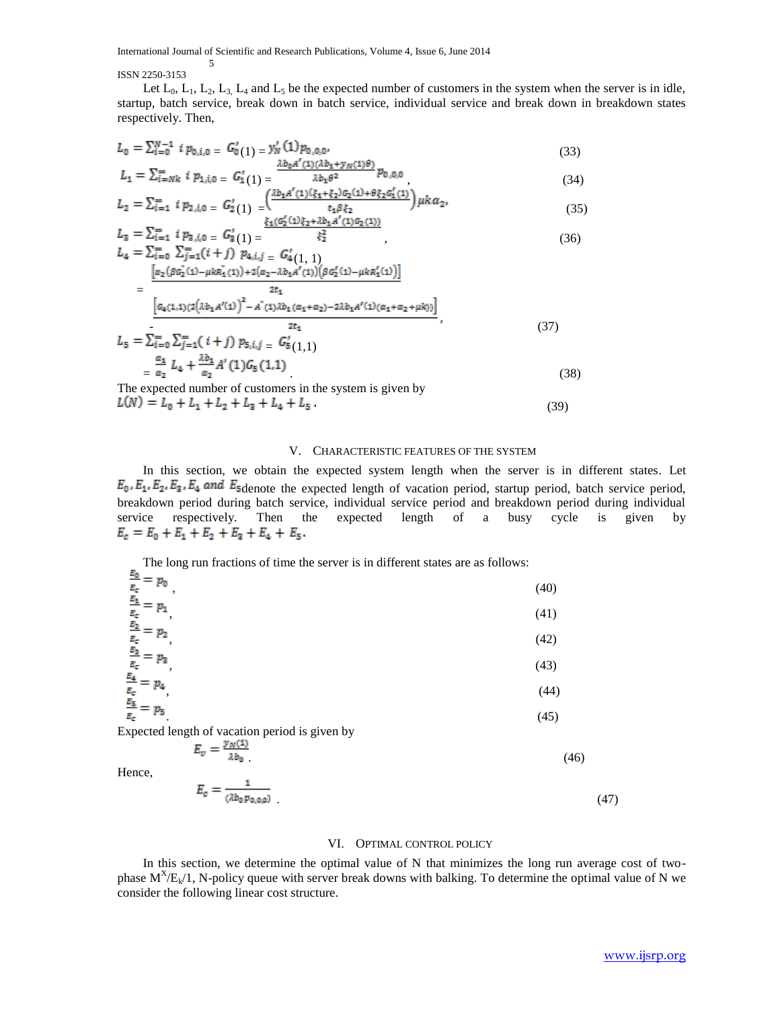ISSN 2250-3153

5

Let  $L_0$ ,  $L_1$ ,  $L_2$ ,  $L_3$ ,  $L_4$  and  $L_5$  be the expected number of customers in the system when the server is in idle, startup, batch service, break down in batch service, individual service and break down in breakdown states respectively. Then,

$$
L_0 = \sum_{i=0}^{N-1} i p_{0,i,0} = G'_0(1) = y'_N(1) p_{0,0,0},
$$
  

$$
\frac{\lambda b_0 A'(1)(\lambda b_1 + y_N(1)\theta)}{\lambda b_0 A'(1)(\lambda b_1 + y_N(1)\theta)} p_{0,0,0}.
$$
 (33)

$$
L_1 = \sum_{i=Nk}^{1} \sum_{i=1}^{n} b_{1,i,0} = G_1(1) = \frac{\lambda b_1 \theta^2}{\sum_{i=1}^{n} i p_{2,i,0}} = \frac{G_2}{\sum_{i=1}^{n} i p_{2,i,0}} = \frac{A b_1 \theta^2}{\sum_{i=1}^{n} i p_{2,i,0}} = \frac{A b_1 \theta^2}{\sum_{i=1}^{n} i p_{2,i,0}} = \frac{A b_1 \theta^2}{\sum_{i=1}^{n} i p_{2,i,0}} = \frac{A b_1 \theta^2}{\sum_{i=1}^{n} i p_{2,i,0}} = \frac{A b_1 \theta^2}{\sum_{i=1}^{n} i p_{2,i,0}} = \frac{A b_1 \theta^2}{\sum_{i=1}^{n} i p_{2,i,0}} = \frac{A b_1 \theta^2}{\sum_{i=1}^{n} i p_{2,i,0}} = \frac{A b_1 \theta^2}{\sum_{i=1}^{n} i p_{2,i,0}} = \frac{A b_1 \theta^2}{\sum_{i=1}^{n} i p_{2,i,0}} = \frac{A b_1 \theta^2}{\sum_{i=1}^{n} i p_{2,i,0}} = \frac{A b_1 \theta^2}{\sum_{i=1}^{n} i p_{2,i,0}} = \frac{A b_1 \theta^2}{\sum_{i=1}^{n} i p_{2,i,0}} = \frac{A b_1 \theta^2}{\sum_{i=1}^{n} i p_{2,i,0}} = \frac{A b_1 \theta^2}{\sum_{i=1}^{n} i p_{2,i,0}} = \frac{A b_1 \theta^2}{\sum_{i=1}^{n} i p_{2,i,0}} = \frac{A b_1 \theta^2}{\sum_{i=1}^{n} i p_{2,i,0}} = \frac{A b_1 \theta^2}{\sum_{i=1}^{n} i p_{2,i,0}} = \frac{A b_1 \theta^2}{\sum_{i=1}^{n} i p_{2,i,0}} = \frac{A b_1 \theta^2}{\sum_{i=1}^{n} i p_{2,i,0}} = \frac{A b_1 \theta^2}{\sum_{i=1}^{n} i p_{2,i,0}} = \frac{A b_1 \theta^2}{\sum_{i=1}^{n} i p_{2,i,0}} = \frac{A b_1 \theta^2}{
$$

$$
L_3 = \sum_{i=1}^{\infty} i p_{3,i,0} = G'_3(1) = \frac{\xi_1(G'_2(1)\xi_2 + \lambda b_1 A'(1)G_2(1))}{\xi_2^2},
$$
\n(36)

$$
L_{4} = \sum_{i=0}^{\infty} \sum_{j=1}^{\infty} (i+j) p_{4,i,j} = G'_{4}(1, 1)
$$
  
= 
$$
\frac{\left[\alpha_{2} (\beta c_{2}^{+}(1) - \mu k R_{1}^{+}(1)) + 2(\alpha_{2} - \lambda b_{1} A' (1))(\beta c_{2}^{'}(1) - \mu k R_{1}^{'}(1))\right]}{2t_{1}}
$$
  
= 
$$
\frac{\left[G_{4}(1,1)(2(\lambda b_{1} A' (1))^{2} - A^{+}(1) \lambda b_{1} (\alpha_{1} + \alpha_{2}) - 2\lambda b_{1} A' (1) (\alpha_{1} + \alpha_{2} + \mu k))\right]}{2t_{1}},
$$
  

$$
L_{5} = \sum_{i=0}^{\infty} \sum_{j=1}^{\infty} (i+j) p_{5,i,j} = G'_{5}(1, 1)
$$
 (37)

$$
L_5 = \sum_{i=0}^{\infty} \sum_{j=1}^{\infty} (i+j) p_{5,i,j} = G_5^{\prime}(1,1)
$$
  
=  $\frac{\alpha_1}{\alpha_2} L_4 + \frac{\lambda b_1}{\alpha_2} A^{\prime}(1) G_5(1,1)$  (38)

The expected number of customers in the system is given by  $L(N) = L_0 + L_1 + L_2 + L_3 + L_4 + L_5$ .

## V. CHARACTERISTIC FEATURES OF THE SYSTEM

(39)

 In this section, we obtain the expected system length when the server is in different states. Let denote the expected length of vacation period, startup period, batch service period, breakdown period during batch service, individual service period and breakdown period during individual service respectively. Then the expected length of a busy cycle is given by  $E_c = E_0 + E_1 + E_2 + E_3 + E_4 + E_5.$ 

The long run fractions of time the server is in different states are as follows:

| <u>nu</u><br>$p_{\scriptstyle 0}$<br>$E_{\rm c}$<br>ε,   | (40) |
|----------------------------------------------------------|------|
| $E_{\rm c}$<br>E,                                        | (41) |
| $E_{\rm c}$<br>E,                                        | (42) |
| Ε,                                                       | (43) |
| Ε,                                                       | (44) |
| $p_{\scriptscriptstyle{\mathbf{5}}}$<br>$\mathbf{E_{c}}$ | (45) |
| Expected length of vacation period is given by           |      |

Expected length of vacation period is given by

$$
E_v = \frac{y_N(1)}{\lambda b_0} \tag{46}
$$

Hence,

$$
E_c = \frac{1}{(\lambda b_0 p_{0,0,0})}
$$
(47)

#### VI. OPTIMAL CONTROL POLICY

 In this section, we determine the optimal value of N that minimizes the long run average cost of twophase  $M^X/E_k/1$ , N-policy queue with server break downs with balking. To determine the optimal value of N we consider the following linear cost structure.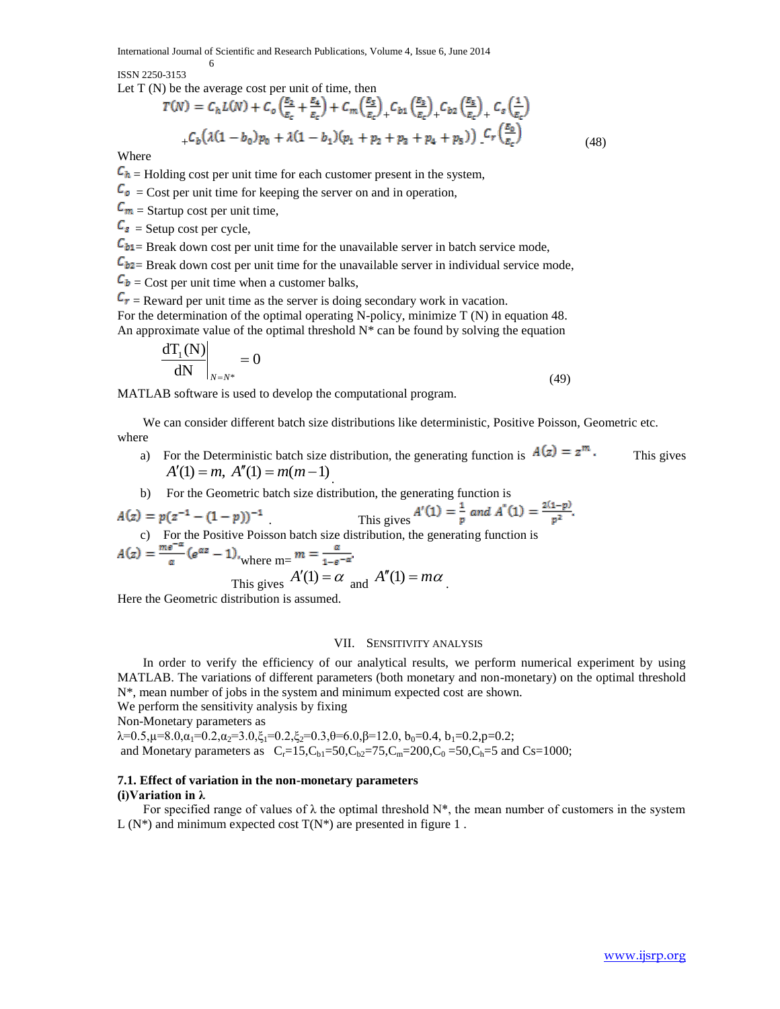ISSN 2250-3153

Let  $T(N)$  be the average cost per unit of time, then

6

$$
T(N) = C_h L(N) + C_o \left(\frac{E_2}{E_c} + \frac{E_4}{E_c}\right) + C_m \left(\frac{E_5}{E_c}\right)_+ C_{b1} \left(\frac{E_3}{E_c}\right)_+ C_{b2} \left(\frac{E_5}{E_c}\right)_+ C_s \left(\frac{1}{E_c}\right)
$$
  
+  $C_b \left(\lambda (1 - b_0) p_0 + \lambda (1 - b_1)(p_1 + p_2 + p_3 + p_4 + p_5)\right) C_r \left(\frac{E_0}{E_c}\right)$  (48)

Where

 $C_h$  = Holding cost per unit time for each customer present in the system,

 $C_{\rho}$  = Cost per unit time for keeping the server on and in operation,

 $\mathcal{C}_m$  = Startup cost per unit time,

 $\mathcal{C}_{s}$  = Setup cost per cycle,

 $C_{b1}$  Break down cost per unit time for the unavailable server in batch service mode,

 $C_{b2}$  Break down cost per unit time for the unavailable server in individual service mode,

 $\mathbf{C}_{\mathbf{b}}$  = Cost per unit time when a customer balks,

 $C_r$  = Reward per unit time as the server is doing secondary work in vacation. For the determination of the optimal operating N-policy, minimize T (N) in equation 48. An approximate value of the optimal threshold  $N^*$  can be found by solving the equation

$$
\left. \frac{d T_1(N)}{dN} \right|_{N=N^*} = 0 \tag{49}
$$

MATLAB software is used to develop the computational program.

 We can consider different batch size distributions like deterministic, Positive Poisson, Geometric etc. where

- a) For the Deterministic batch size distribution, the generating function is  $A(z) = z^m$ . This gives  $A'(1) = m, A''(1) = m(m-1)$ .
- b) For the Geometric batch size distribution, the generating function is

$$
A(z) = p(z^{-1} - (1 - p))^{-1}
$$
  
This gives  $A'(1) = \frac{1}{p}$  and  $A''(1) = \frac{2(1-p)}{p^2}$ .

c) For the Positive Poisson batch size distribution, the generating function is

$$
A(z) = \frac{me^{-\alpha}}{\alpha} (e^{\alpha z} - 1)_{\text{where m=}} m = \frac{\alpha}{1 - e^{-\alpha}}.
$$
  
This gives  $A'(1) = \alpha$  and  $A''(1) = m\alpha$ .

Here the Geometric distribution is assumed.

## VII. SENSITIVITY ANALYSIS

 In order to verify the efficiency of our analytical results, we perform numerical experiment by using MATLAB. The variations of different parameters (both monetary and non-monetary) on the optimal threshold N\*, mean number of jobs in the system and minimum expected cost are shown.

We perform the sensitivity analysis by fixing

Non-Monetary parameters as

 $\lambda = 0.5$ ,  $\mu = 8.0$ ,  $\alpha_1 = 0.2$ ,  $\alpha_2 = 3.0$ ,  $\xi_1 = 0.2$ ,  $\xi_2 = 0.3$ ,  $\theta = 6.0$ ,  $\beta = 12.0$ ,  $b_0 = 0.4$ ,  $b_1 = 0.2$ ,  $p = 0.2$ ; and Monetary parameters as  $C_r = 15, C_b = 50, C_b = 75, C_m = 200, C_0 = 50, C_b = 5$  and Cs=1000;

## **7.1. Effect of variation in the non-monetary parameters**

#### **(i)Variation in λ**

For specified range of values of  $\lambda$  the optimal threshold  $N^*$ , the mean number of customers in the system  $L(N^*)$  and minimum expected cost  $T(N^*)$  are presented in figure 1.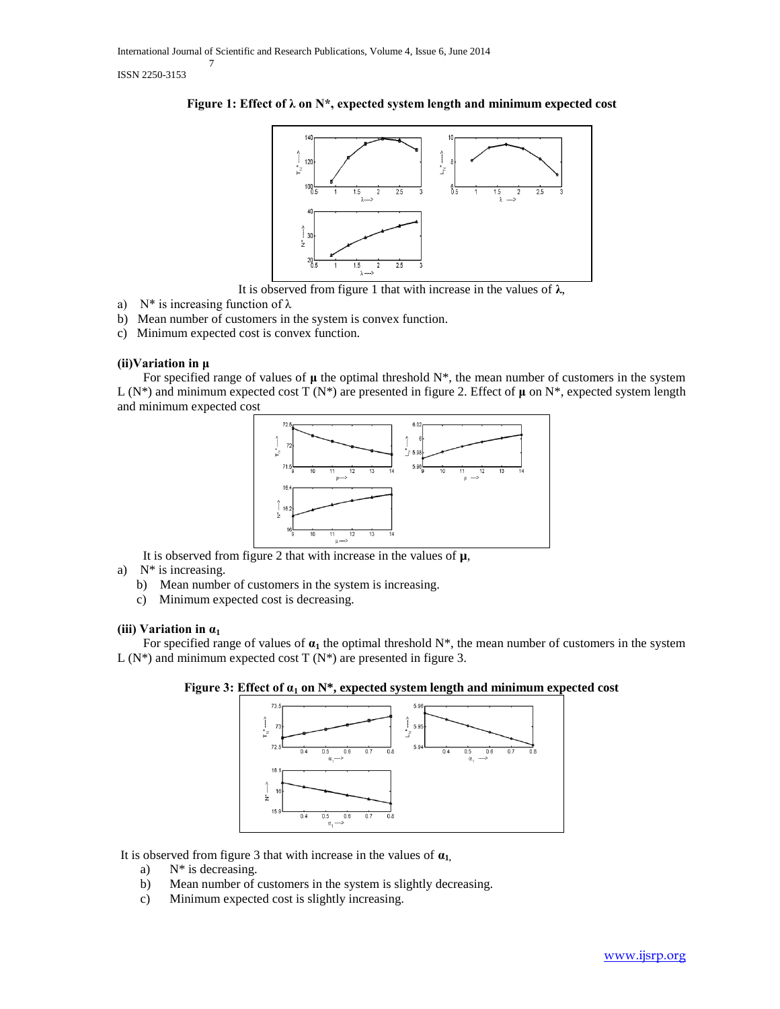



It is observed from figure 1 that with increase in the values of **λ**,

- a) N<sup>\*</sup> is increasing function of  $\lambda$
- b) Mean number of customers in the system is convex function.
- c) Minimum expected cost is convex function.

## **(ii)Variation in μ**

 For specified range of values of **μ** the optimal threshold N\*, the mean number of customers in the system L (N\*) and minimum expected cost T (N\*) are presented in figure 2. Effect of **μ** on N\*, expected system length and minimum expected cost



It is observed from figure 2 that with increase in the values of **µ**,

- a) N\* is increasing.
	- b) Mean number of customers in the system is increasing.
	- c) Minimum expected cost is decreasing.

# **(iii) Variation in α<sup>1</sup>**

For specified range of values of  $\alpha_1$  the optimal threshold  $N^*$ , the mean number of customers in the system  $L(N^*)$  and minimum expected cost T  $(N^*)$  are presented in figure 3.





It is observed from figure 3 that with increase in the values of  $\mathbf{a}_1$ ,

- a)  $N^*$  is decreasing.
- b) Mean number of customers in the system is slightly decreasing.
- c) Minimum expected cost is slightly increasing.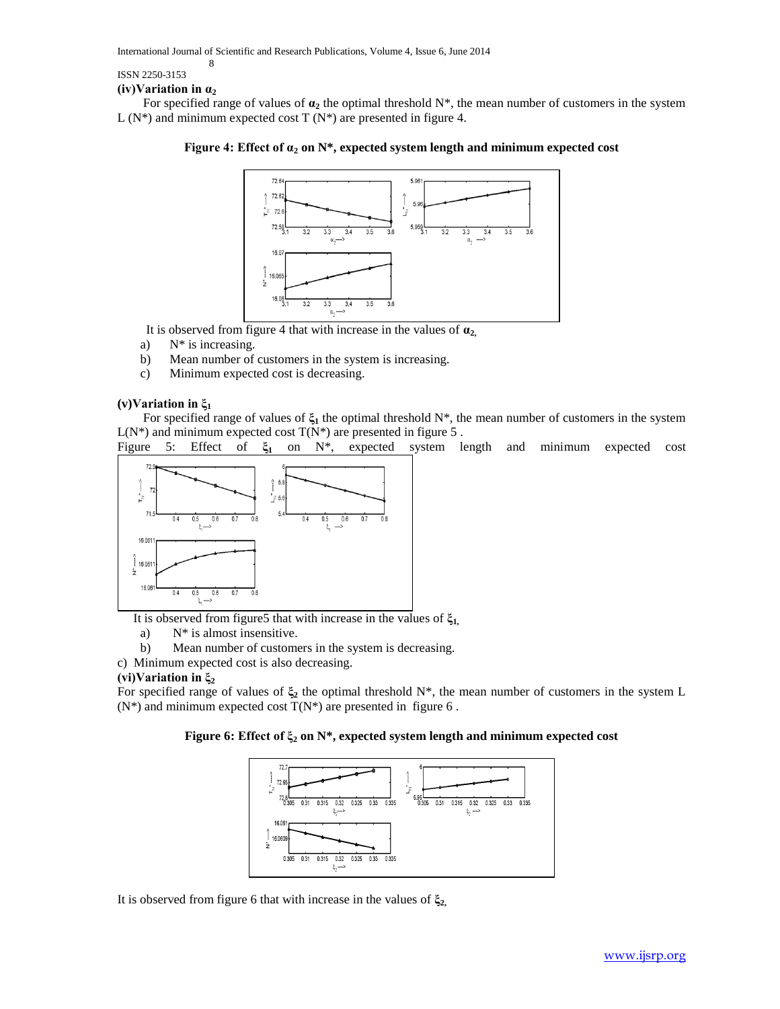ISSN 2250-3153

## **(iv)Variation in α<sup>2</sup>**

8

For specified range of values of  $\alpha_2$  the optimal threshold  $N^*$ , the mean number of customers in the system  $L(N^*)$  and minimum expected cost T  $(N^*)$  are presented in figure 4.

## **Figure 4: Effect of α<sup>2</sup> on N\*, expected system length and minimum expected cost**



It is observed from figure 4 that with increase in the values of  $\mathbf{a}_2$ ,

- a)  $N^*$  is increasing.
- b) Mean number of customers in the system is increasing.
- c) Minimum expected cost is decreasing.

## **(v)Variation in ξ<sup>1</sup>**

 For specified range of values of **ξ<sup>1</sup>** the optimal threshold N\*, the mean number of customers in the system  $L(N^*)$  and minimum expected cost  $T(N^*)$  are presented in figure 5.

Figure 5: Effect of **ξ<sup>1</sup>** on N\*, expected system length and minimum expected cost



It is observed from figure5 that with increase in the values of **ξ1,**

- a) N\* is almost insensitive.
- b) Mean number of customers in the system is decreasing.
- c) Minimum expected cost is also decreasing.

## **(vi)Variation in ξ<sup>2</sup>**

For specified range of values of **ξ<sup>2</sup>** the optimal threshold N\*, the mean number of customers in the system L  $(N^*)$  and minimum expected cost  $T(N^*)$  are presented in figure 6.

## **Figure 6: Effect of ξ<sup>2</sup> on N\*, expected system length and minimum expected cost**



It is observed from figure 6 that with increase in the values of **ξ2,**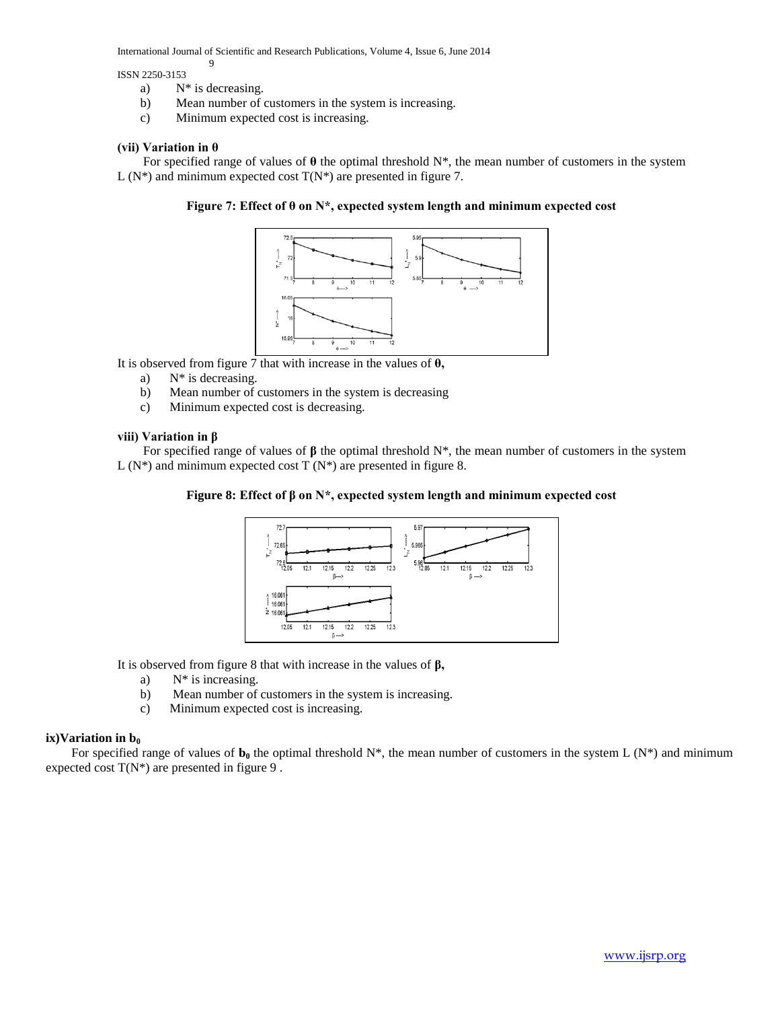ISSN 2250-3153

a) N\* is decreasing.

9

- b) Mean number of customers in the system is increasing.
- c) Minimum expected cost is increasing.

## **(vii) Variation in θ**

 For specified range of values of **θ** the optimal threshold N\*, the mean number of customers in the system  $L(N^*)$  and minimum expected cost  $T(N^*)$  are presented in figure 7.

**Figure 7: Effect of θ on N\*, expected system length and minimum expected cost**



It is observed from figure 7 that with increase in the values of **θ,**

- a) N\* is decreasing.
- b) Mean number of customers in the system is decreasing
- c) Minimum expected cost is decreasing.

## **viii) Variation in β**

For specified range of values of  $\beta$  the optimal threshold N<sup>\*</sup>, the mean number of customers in the system  $L(N^*)$  and minimum expected cost T  $(N^*)$  are presented in figure 8.

## **Figure 8: Effect of β on N\*, expected system length and minimum expected cost**



It is observed from figure 8 that with increase in the values of **β,**

- a)  $N^*$  is increasing.
- b) Mean number of customers in the system is increasing.
- c) Minimum expected cost is increasing.

## $i$ **ix**)Variation in  $b_0$

For specified range of values of  $\mathbf{b}_0$  the optimal threshold N\*, the mean number of customers in the system L (N\*) and minimum expected cost  $T(N^*)$  are presented in figure 9.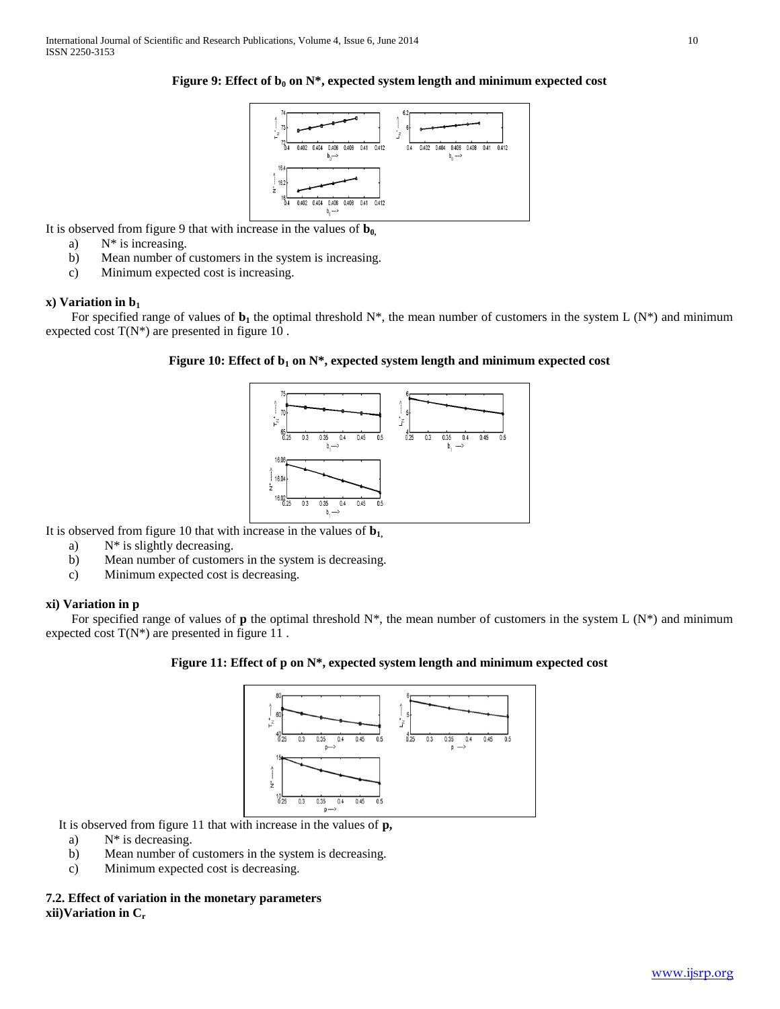

**Figure 9: Effect of**  $b_0$  **on**  $N^*$ **, expected system length and minimum expected cost** 

It is observed from figure 9 that with increase in the values of **b0,**

- a) N\* is increasing.
- b) Mean number of customers in the system is increasing.
- c) Minimum expected cost is increasing.

#### **x) Variation in b<sup>1</sup>**

For specified range of values of  $\mathbf{b}_1$  the optimal threshold N\*, the mean number of customers in the system L (N\*) and minimum expected cost  $T(N^*)$  are presented in figure 10.

## **Figure 10: Effect of b<sup>1</sup> on N\*, expected system length and minimum expected cost**



It is observed from figure 10 that with increase in the values of **b1,**

- a)  $N^*$  is slightly decreasing.
- b) Mean number of customers in the system is decreasing.
- c) Minimum expected cost is decreasing.

### **xi) Variation in p**

For specified range of values of **p** the optimal threshold  $N^*$ , the mean number of customers in the system L  $(N^*)$  and minimum expected cost  $T(N^*)$  are presented in figure 11.

#### **Figure 11: Effect of p on N\*, expected system length and minimum expected cost**



It is observed from figure 11 that with increase in the values of **p,**

- a)  $N^*$  is decreasing.
- b) Mean number of customers in the system is decreasing.
- c) Minimum expected cost is decreasing.

## **7.2. Effect of variation in the monetary parameters xii)Variation in Cr**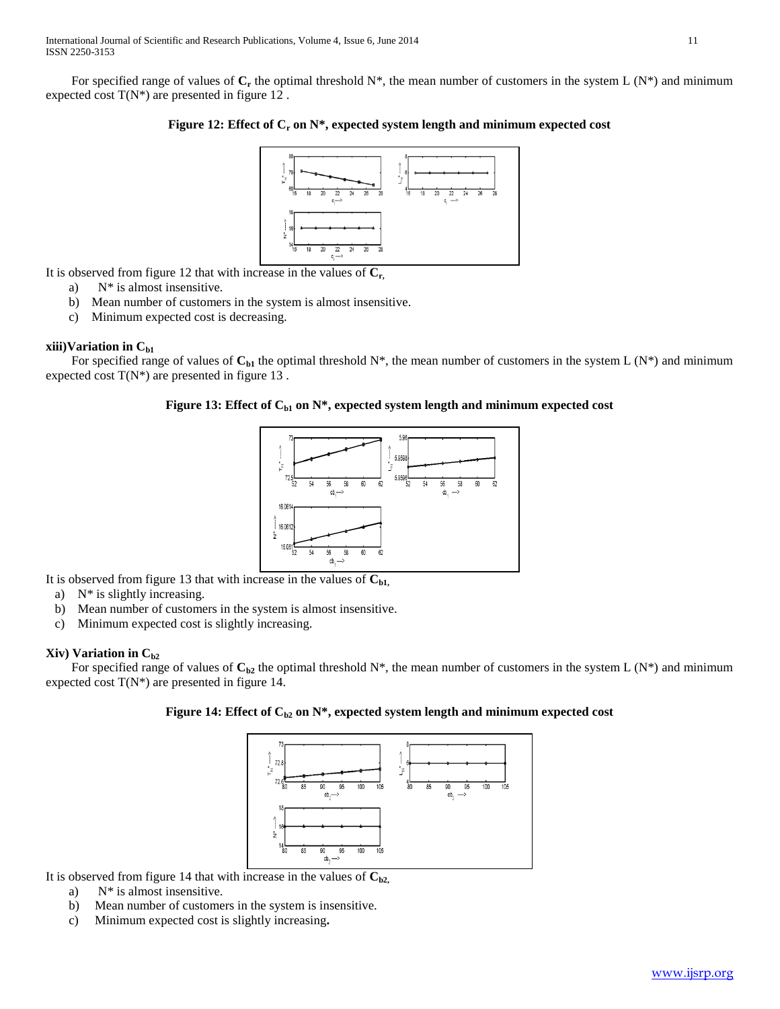For specified range of values of  $C_r$  the optimal threshold  $N^*$ , the mean number of customers in the system L  $(N^*)$  and minimum expected cost  $T(N^*)$  are presented in figure 12.

## **Figure 12: Effect of C<sup>r</sup> on N\*, expected system length and minimum expected cost**



It is observed from figure 12 that with increase in the values of **Cr,**

- a) N\* is almost insensitive.
- b) Mean number of customers in the system is almost insensitive.
- c) Minimum expected cost is decreasing.

## **xiii)Variation in Cb1**

For specified range of values of  $C_{b1}$  the optimal threshold N\*, the mean number of customers in the system L (N\*) and minimum expected cost  $T(N^*)$  are presented in figure 13.

# Figure 13: Effect of C<sub>b1</sub> on N\*, expected system length and minimum expected cost



It is observed from figure 13 that with increase in the values of  $C_{b1}$ ,

- a) N\* is slightly increasing.
- b) Mean number of customers in the system is almost insensitive.
- c) Minimum expected cost is slightly increasing.

## **Xiv) Variation in Cb2**

For specified range of values of  $C_{b2}$  the optimal threshold N\*, the mean number of customers in the system L (N\*) and minimum expected cost  $T(N^*)$  are presented in figure 14.

## **Figure 14: Effect of**  $C_{b2}$  **on**  $N^*$ **, expected system length and minimum expected cost**



It is observed from figure 14 that with increase in the values of  $C_{b2}$ ,

- a) N\* is almost insensitive.
- b) Mean number of customers in the system is insensitive.
- c) Minimum expected cost is slightly increasing**.**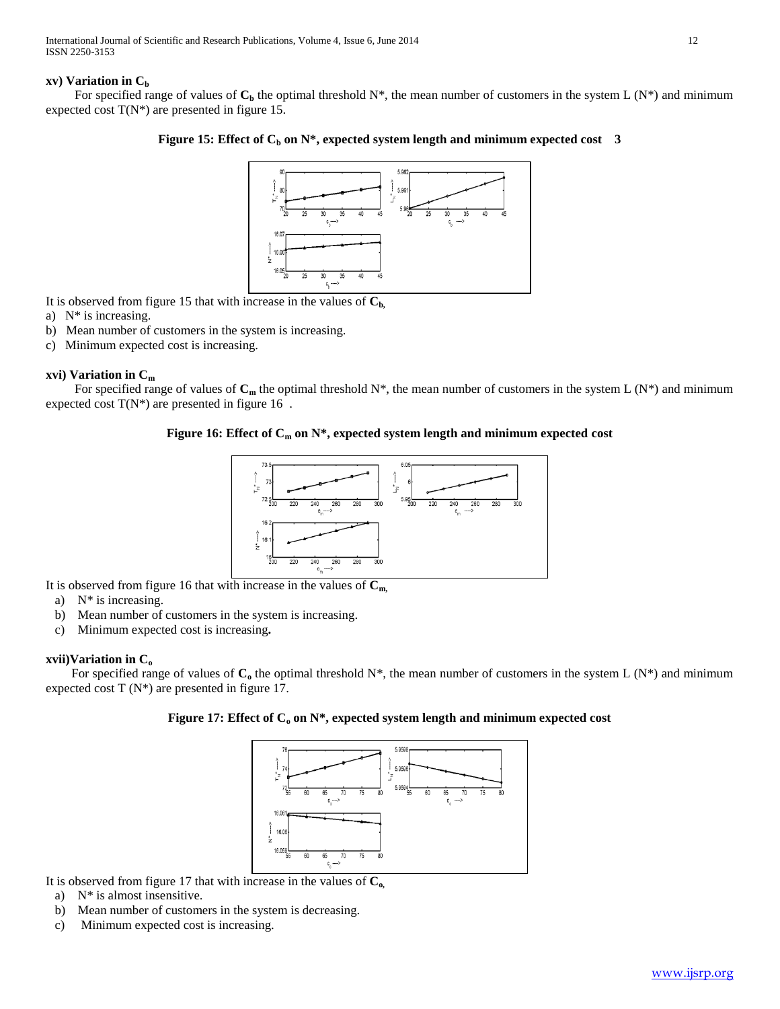## **xv) Variation in C<sup>b</sup>**

For specified range of values of  $C_b$  the optimal threshold N\*, the mean number of customers in the system L (N\*) and minimum expected cost  $T(N^*)$  are presented in figure 15.

# **Figure 15: Effect of C<sup>b</sup> on N\*, expected system length and minimum expected cost 3**



It is observed from figure 15 that with increase in the values of  $C_b$ 

- a) N\* is increasing.
- b) Mean number of customers in the system is increasing.
- c) Minimum expected cost is increasing.

## **xvi) Variation in C<sup>m</sup>**

For specified range of values of  $C_m$  the optimal threshold  $N^*$ , the mean number of customers in the system L  $(N^*)$  and minimum expected cost  $T(N^*)$  are presented in figure 16.

## **Figure 16: Effect of C<sup>m</sup> on N\*, expected system length and minimum expected cost**



It is observed from figure 16 that with increase in the values of **Cm,**

- a) N\* is increasing.
- b) Mean number of customers in the system is increasing.
- c) Minimum expected cost is increasing**.**

## **xvii)Variation in C<sup>o</sup>**

For specified range of values of  $\mathbf{C}_0$  the optimal threshold N<sup>\*</sup>, the mean number of customers in the system L (N<sup>\*</sup>) and minimum expected cost  $T(N^*)$  are presented in figure 17.

## **Figure 17: Effect of C<sup>o</sup> on N\*, expected system length and minimum expected cost**



It is observed from figure 17 that with increase in the values of **Co,**

- a) N\* is almost insensitive.
- b) Mean number of customers in the system is decreasing.
- c) Minimum expected cost is increasing.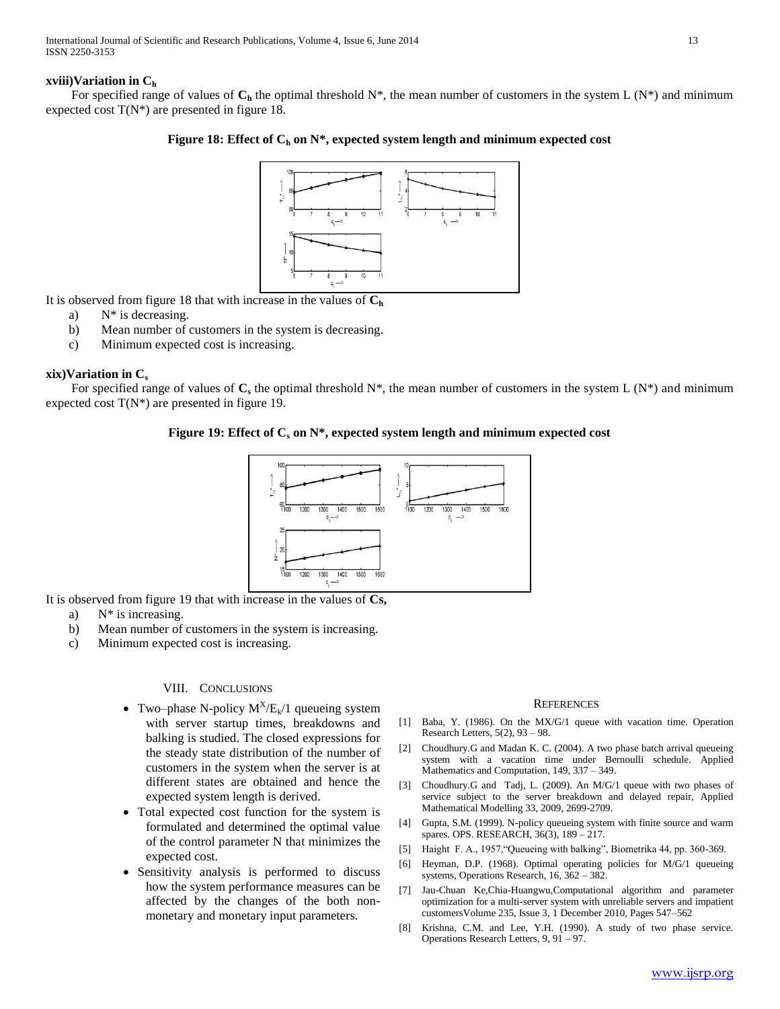## **xviii)Variation in C<sup>h</sup>**

For specified range of values of  $C_h$  the optimal threshold N\*, the mean number of customers in the system L (N\*) and minimum expected cost  $T(N^*)$  are presented in figure 18.

# **Figure 18: Effect of C<sup>h</sup> on N\*, expected system length and minimum expected cost**



It is observed from figure 18 that with increase in the values of **C<sup>h</sup>**

- a) N\* is decreasing.
- b) Mean number of customers in the system is decreasing.
- c) Minimum expected cost is increasing.

## **xix)Variation in C<sup>s</sup>**

For specified range of values of  $C_s$  the optimal threshold  $N^*$ , the mean number of customers in the system L  $(N^*)$  and minimum expected cost  $T(N^*)$  are presented in figure 19.

## **Figure 19: Effect of C<sup>s</sup> on N\*, expected system length and minimum expected cost**



It is observed from figure 19 that with increase in the values of **Cs,**

- a)  $N^*$  is increasing.
- b) Mean number of customers in the system is increasing.
- c) Minimum expected cost is increasing.

## VIII. CONCLUSIONS

- Two–phase N-policy  $M^X/E_k/1$  queueing system with server startup times, breakdowns and balking is studied. The closed expressions for the steady state distribution of the number of customers in the system when the server is at different states are obtained and hence the expected system length is derived.
- Total expected cost function for the system is formulated and determined the optimal value of the control parameter N that minimizes the expected cost.
- Sensitivity analysis is performed to discuss how the system performance measures can be affected by the changes of the both nonmonetary and monetary input parameters.

#### **REFERENCES**

- [1] Baba, Y. (1986). On the MX/G/1 queue with vacation time. Operation Research Letters,  $5(2)$ ,  $93 - 98$ .
- [2] Choudhury.G and Madan K. C. (2004). A two phase batch arrival queueing system with a vacation time under Bernoulli schedule. Applied Mathematics and Computation, 149, 337 – 349.
- [3] Choudhury.G and Tadj, L. (2009). An M/G/1 queue with two phases of service subject to the server breakdown and delayed repair, Applied Mathematical Modelling 33, 2009, 2699-2709.
- [4] Gupta, S.M. (1999). N-policy queueing system with finite source and warm spares. OPS. RESEARCH, 36(3), 189 – 217.
- [5] Haight F. A., 1957,"Queueing with balking", Biometrika 44, pp. 360-369.
- [6] Heyman, D.P. (1968). Optimal operating policies for M/G/1 queueing systems, Operations Research, 16, 362 – 382.
- [7] Jau-Chuan Ke,Chia-Huangwu,Computational algorithm and parameter optimization for a multi-server system with unreliable servers and impatient customersVolume 235, Issue 3, 1 December 2010, Pages 547–562
- [8] Krishna, C.M. and Lee, Y.H. (1990). A study of two phase service. Operations Research Letters, 9, 91 – 97.